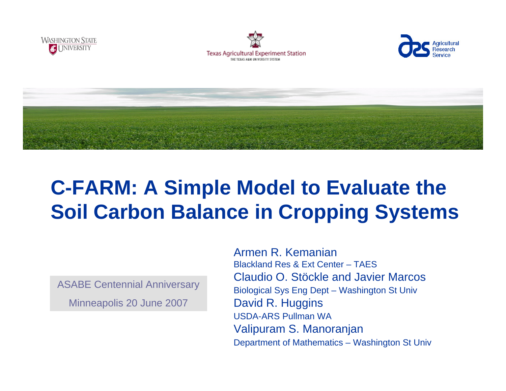







# **C-FARM: A Simple Model to Evaluate the Soil Carbon Balance in Cropping Systems**

ASABE Centennial Anniversary Minneapolis 20 June 2007

Armen R. KemanianBlackland Res & Ext Center – TAESClaudio O. Stöckle and Javier MarcosBiological Sys Eng Dept – Washington St Univ David R. Huggins USDA-ARS Pullman WAValipuram S. Manoranjan Department of Mathematics – Washington St Univ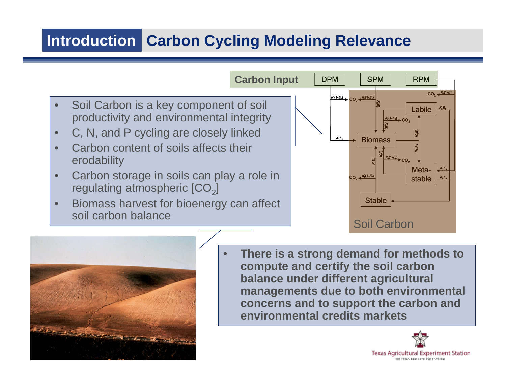## **Introduction Carbon Cycling Modeling Relevance**





 **There is a strong demand for methods to compute and certify the soil carbon balance under different agricultural managements due to both environmental concerns and to support the carbon and environmental credits markets**

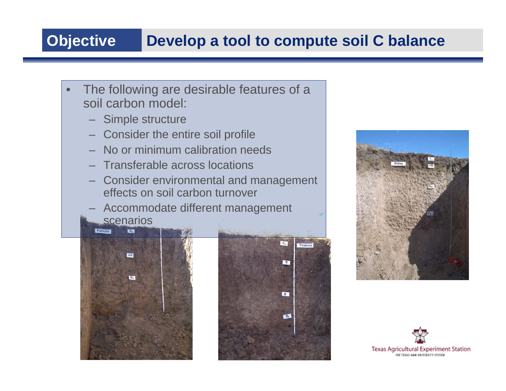## **Objective Develop a tool to compute soil C balance**

- $\bullet$ The following are desirable features of a soil carbon model:
	- Simple structure
	- Consider the entire soil profile
	- No or minimum calibration needs
	- Transferable across locations
	- Consider environmental and management effects on soil carbon turnover
	- Accommodate different management scenarios

 $A_n$ **AB B**<sub>w</sub>





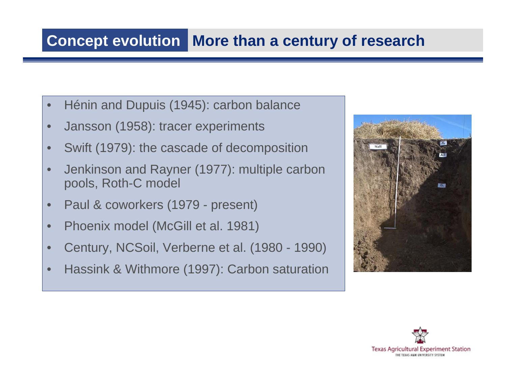### **Concept evolution | More than a century of research**

- $\bullet$ Hénin and Dupuis (1945): carbon balance
- $\bullet$ Jansson (1958): tracer experiments
- •Swift (1979): the cascade of decomposition
- •Jenkinson and Rayner (1977): multiple carbon pools, Roth-C model
- •Paul & coworkers (1979 - present)
- •Phoenix model (McGill et al. 1981)
- •Century, NCSoil, Verberne et al. (1980 - 1990)
- •Hassink & Withmore (1997): Carbon saturation



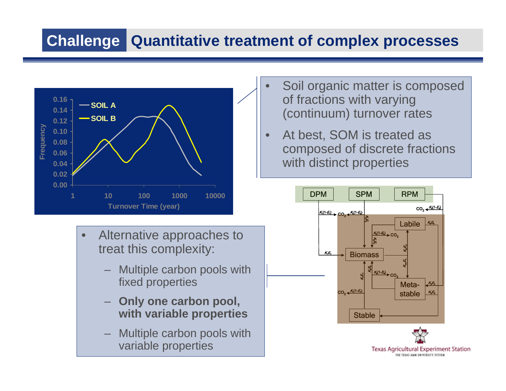## **Challenge Quantitative treatment of complex processes**



- •Alternative approaches to treat this complexity:
	- Multiple carbon pools with fixed properties
	- **Only one carbon pool, with variable properties**
	- Multiple carbon pools with variable properties
- $\bullet$ Soil organic matter is composed of fractions with varying (continuum) turnover rates
- •At best, SOM is treated as composed of discrete fractions with distinct properties

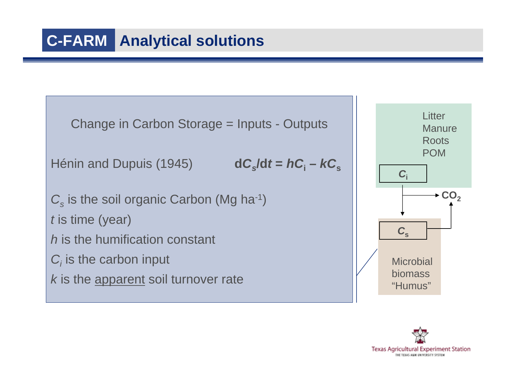```
Change in Carbon Storage = Inputs - Outputs
Hénin and Dupuis (1945) dCs/dt =hCidC_x/dt = hC_i - kC_s\mathcal{C}_{\text{s}} is the soil organic Carbon (Mg ha<sup>-1</sup>)
t is time (year)
h is the humification constant
C_i is the carbon input
k is the apparent soil turnover rate
```


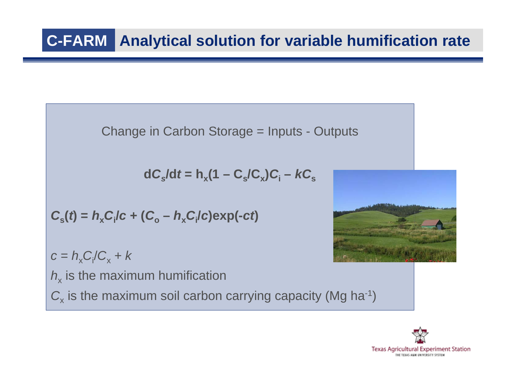Change in Carbon Storage = Inputs - Outputs

 $\mathbf{d} \mathbf{C}_{\mathrm{s}}/\mathbf{d}t = \mathbf{h}_{\mathrm{x}}(\mathbf{1}-\mathbf{C}_{\mathrm{s}}/\mathbf{C}_{\mathrm{x}})\mathbf{C}_{\mathrm{i}} - \mathbf{k}\mathbf{C}_{\mathrm{s}}$ 

$$
C_{\rm s}(t) = h_{\rm x} C_{\rm i}/c + (C_{\rm o} - h_{\rm x} C_{\rm i}/c) \exp(-ct)
$$

 $c = h_x C_i/C_x + k$ 

 $h_{\mathsf{x}}$  is the maximum humification  $\textit{\textbf{C}}_{\textsf{x}}$  is the maximum soil carbon carrying capacity (Mg ha<sup>-1</sup>)



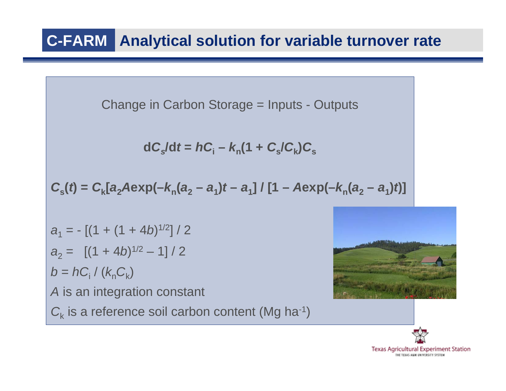### **Analytical solution for variable turnover rate C-FARM**

Change in Carbon Storage = Inputs - Outputs

$$
dC_s/dt = hC_i - k_n(1 + C_s/C_k)C_s
$$

$$
C_{s}(t) = C_{k}[a_{2}A \exp(-k_{n}(a_{2}-a_{1})t-a_{1}]/[1-A \exp(-k_{n}(a_{2}-a_{1})t)]
$$

*a*<sub>1</sub> = - [(1 + (1 + 4*b*)<sup>1/2</sup>] / 2  $a_2 = [(1 + 4b)^{1/2}]$ – 1] / 2  $b = hC_i$  /  $(k_nC_k)$ *A* is an integration constant  $C_{\rm k}$  is a reference soil carbon content (Mg ha<sup>-1</sup>)



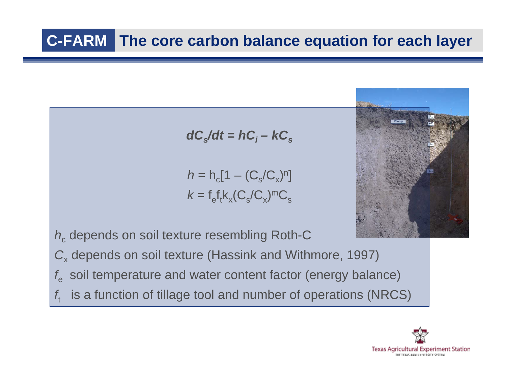## **The core carbon balance equation for each layer C-FARM**

$$
dC_s/dt = hC_i - kC_s
$$

 $h$  = h<sub>c</sub>[1 – (C<sub>s</sub>/C<sub>x</sub>)<sup>n</sup>]  $k = f_e f_t k_x (C_s/C_x)$ <sup>m</sup>C<sub>s</sub>



*h* c depends on soil texture resembling Roth-C

 $\textit{C}_{\textsf{x}}$  depends on soil texture (Hassink and Withmore, 1997)

- $f_{\rho}$ soil temperature and water content factor (energy balance)
- *f*tis a function of tillage tool and number of operations (NRCS)

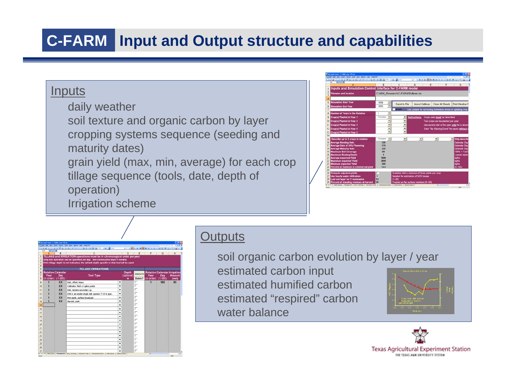## **Input and Output structure and capabilities C-FARM**

### **Inputs**

daily weather

soil texture and organic carbon by layer cropping systems sequence (seeding and maturity dates)

grain yield (max, min, average) for each crop tillage sequence (tools, date, depth of operation)

Irrigation scheme

|                         | <sup>3</sup> for \$2. per yest fund tim bes under tell ASSARE<br>38930037038ペイベースエイは日本サイドま |            |                          |                                                    | AT AT A 2 U C R H H H A N A M 2 U C 2 A A |   |                                   |   | Tues a guestion for look<br>$-$                            |
|-------------------------|--------------------------------------------------------------------------------------------|------------|--------------------------|----------------------------------------------------|-------------------------------------------|---|-----------------------------------|---|------------------------------------------------------------|
|                         | u<br>A                                                                                     | B          |                          | c                                                  | $\overline{D}$                            | Е |                                   | F | G                                                          |
|                         | Inputs and Simulation Control Interface for C-FARM model                                   |            |                          |                                                    |                                           |   |                                   |   |                                                            |
| $\overline{2}$<br>h     | <b>Filename and location</b>                                                               |            |                          | C:\ARK_Research\C-FARM\Pullman.xls                 |                                           |   |                                   |   |                                                            |
| 4                       |                                                                                            |            |                          |                                                    |                                           |   |                                   |   |                                                            |
| $\overline{\mathbf{g}}$ | <b>Simulation Start Year</b>                                                               | 1954       |                          | <b>Export to File</b>                              |                                           |   | Clear All Sheets                  |   |                                                            |
| 6                       | <b>Simulation End Year</b>                                                                 | 1955       | ٠                        |                                                    | Import Settings                           |   |                                   |   | Find Weather F                                             |
| 7                       |                                                                                            |            |                          | <b>Upidate</b>                                     |                                           |   |                                   |   | Use Update for correcting combobox errors or updating crop |
| 8                       | Number of Years in the Rotation                                                            |            | ٠                        |                                                    |                                           |   |                                   |   |                                                            |
| $\overline{9}$          | Crop(s) Planted in Year 1                                                                  | Chrispeas  | $\overline{\phantom{0}}$ | ۳                                                  | Instructions:                             |   | Crops used must be described      |   |                                                            |
| 10                      | Crop(s) Planted in Year 2                                                                  |            | $\overline{ }$           | $\overline{ }$                                     |                                           |   | Two crops can be planted per year |   |                                                            |
| 11                      | Crop(s) Planted in Year 3                                                                  |            | ÷                        | ٠                                                  |                                           |   |                                   |   | Use second slot of the year only for a secon               |
| 12                      | Crop(s) Planted in Year 4                                                                  |            | ٠                        | ٠                                                  |                                           |   |                                   |   | Enter "No Planting Event" for years without                |
| 13                      | Crop(s) Planted in Year 5                                                                  |            | ٠                        | ۰                                                  |                                           |   |                                   |   |                                                            |
| 14                      |                                                                                            |            |                          |                                                    |                                           |   |                                   |   |                                                            |
| 15                      | Describe up to 5 crops in rotation                                                         | Chickpeas: | $\overline{\phantom{a}}$ | $\leftarrow$                                       | $\frac{1}{2}$                             |   | $\bullet$                         |   | Only describ<br>٠                                          |
| 16                      | <b>Average Seeding Date</b>                                                                | 120        |                          |                                                    |                                           |   |                                   |   | <b>Calendar Day</b>                                        |
| 17                      | <b>Average Date of 50% Flowering</b>                                                       | 170        |                          |                                                    |                                           |   |                                   |   | <b>Calendar Day</b>                                        |
| 18                      | <b>Average Maturity Date</b>                                                               | 220        |                          |                                                    |                                           |   |                                   |   | <b>Calendar Day</b>                                        |
| 19                      | <b>Maximum Soil Coverage</b>                                                               | 80         |                          |                                                    |                                           |   |                                   |   | $100\% = 0.01$                                             |
| 20                      | <b>Maximum Rooting Depth</b>                                                               |            |                          |                                                    |                                           |   |                                   |   | Lowest death                                               |
| 21                      | <b>Average expected Yield</b>                                                              | 1000       |                          |                                                    |                                           |   |                                   |   | kalha                                                      |
| 22                      | <b>Maximum expected Yield</b>                                                              | 2000       |                          |                                                    |                                           |   |                                   |   | kaltua                                                     |
| 23                      | Minimum expected Yield                                                                     | 500        |                          |                                                    |                                           |   |                                   |   | koha                                                       |
| $^{24}$                 | Percent of moisture in commercial yield                                                    | 12.0       |                          |                                                    |                                           |   |                                   |   | (0.100)                                                    |
| 25                      |                                                                                            |            |                          |                                                    |                                           |   |                                   |   |                                                            |
| 26                      | <b>Compute adjusted vields</b>                                                             |            |                          | Available with a minimum of three vields per crop. |                                           |   |                                   |   |                                                            |
| 27                      | Use hourly water infiltration                                                              | iv         |                          | Needed for estimation of N2O losses                |                                           |   |                                   |   |                                                            |
| 28                      | Last soil layer for C summaries                                                            | 12         |                          | $(1 - 20)$                                         |                                           |   |                                   |   |                                                            |
|                         | Percent of standing residues at harvest                                                    | 30         |                          | Treated as flat surface residues (0-100)           |                                           |   |                                   |   |                                                            |

TEXA-FOR-METHOD BONNE B **ATION** operations must be in chi ive days if ne **TILLAGE OPERATION** lisk, offset, heavy Cultivator, field v/ spike point Disk, tandem secondary op Drill or air seeder single disk openers 7-10 in sp. Fert applic, surface broadcast **M** 22 22 22 23

### **Outputs**

soil organic carbon evolution by layer / year estimated carbon input estimated humified carbon estimated "respired" carbon water balance



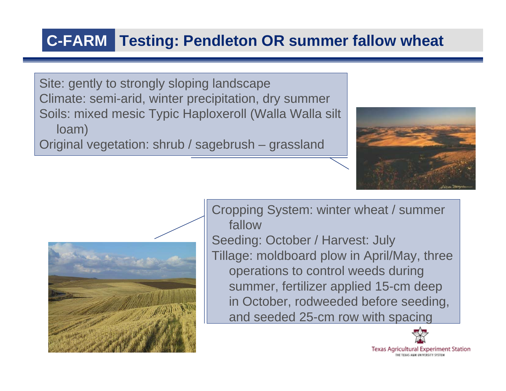### **C-FARMTesting: Pendleton OR summer fallow wheat**

Site: gently to strongly sloping landscape Climate: semi-arid, winter precipitation, dry summer Soils: mixed mesic Typic Haploxeroll (Walla Walla silt loam)

Original vegetation: shrub / sagebrush – grassland





Cropping System: winter wheat / summer fallowSeeding: October / Harvest: July Tillage: moldboard plow in April/May, three operations to control weeds during summer, fertilizer applied 15-cm deep in October, rodweeded before seeding, and seeded 25-cm row with spacing



**Texas Agricultural Experiment Station**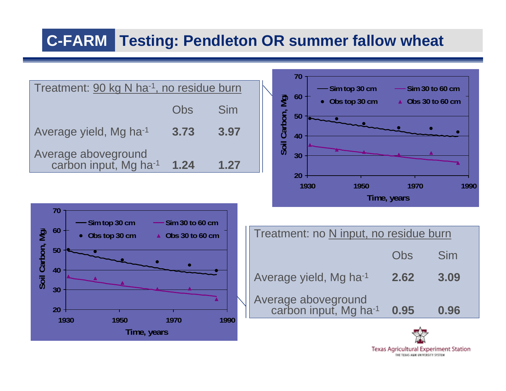## **Testing: Pendleton OR summer fallow wheat C-FARM**







| Obs top 30 cm<br><b>Obs 30 to 60 cm</b> | Treatment: no N input, no residue burn       |      |      |  |  |  |
|-----------------------------------------|----------------------------------------------|------|------|--|--|--|
|                                         |                                              | Obs  | Sim  |  |  |  |
|                                         | Average yield, Mg ha-1                       | 2.62 | 3.09 |  |  |  |
| 4000<br>$\sqrt{2}$                      | Average aboveground<br>carbon input, Mg ha-1 | 0.95 | 0.96 |  |  |  |

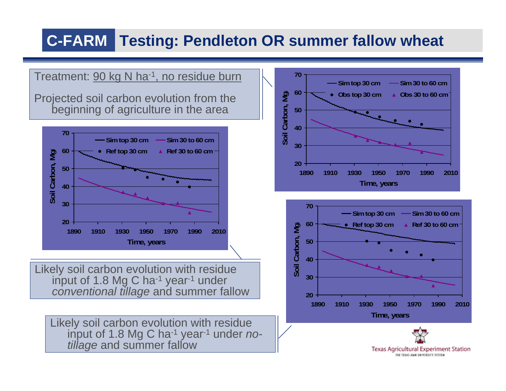### **Testing: Pendleton OR summer fallow wheat C-FARM**

Treatment: 90 kg N ha<sup>-1</sup>, no residue burn

Projected soil carbon evolution from the beginning of agriculture in the area



Likely soil carbon evolution with residue input of 1.8 Mg C ha-1 year-<sup>1</sup> under *conventional tillage* and summer fallow

Likely soil carbon evolution with residue input of 1.8 Mg C ha-1 year-<sup>1</sup> under *notillage* and summer fallow





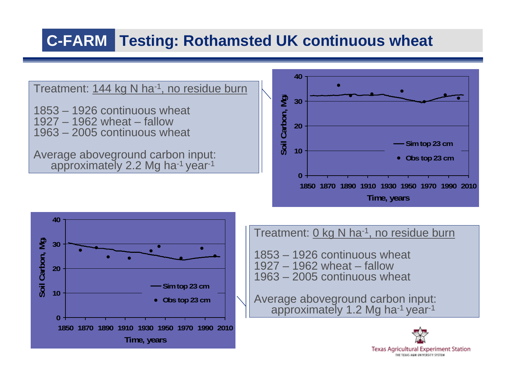#### **Testing: Rothamsted UK continuous wheat C-FARM**

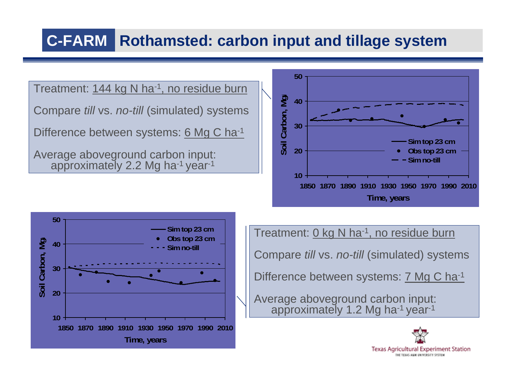#### **Rothamsted: carbon input and tillage system C-FARM**



THE TEXAS ARM UNIVERSITY SYSTEM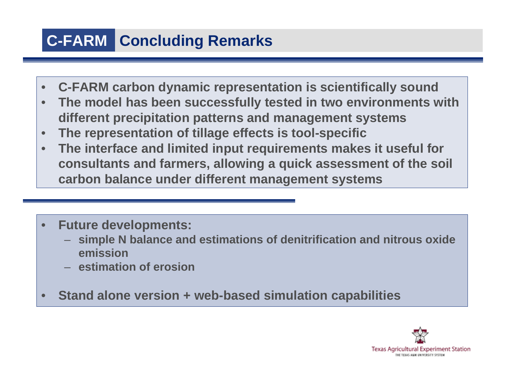## **C-FARM** Concluding Remarks

- $\bullet$ **C-FARM carbon dynamic representation is scientifically sound**
- • **The model has been successfully tested in two environments with different precipitation patterns and management systems**
- $\bullet$ **The representation of tillage effects is tool-specific**
- $\bullet$  **The interface and limited input requirements makes it useful for consultants and farmers, allowing a quick assessment of the soil carbon balance under different management systems**
- $\bullet$  **Future developments:**
	- **simple N balance and estimations of denitrification and nitrous oxide emission**
	- **estimation of erosion**
- $\bullet$ **Stand alone version + web-based simulation capabilities**